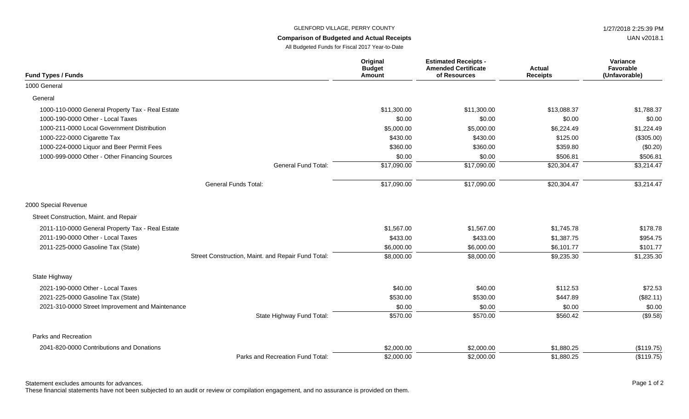## GLENFORD VILLAGE, PERRY COUNTY **1/27/2018 2:25:39 PM**

## **Comparison of Budgeted and Actual Receipts**

All Budgeted Funds for Fiscal 2017 Year-to-Date

| <b>Fund Types / Funds</b>                        |                                                    | Original<br><b>Budget</b><br><b>Amount</b> | <b>Estimated Receipts -</b><br><b>Amended Certificate</b><br>of Resources | <b>Actual</b><br><b>Receipts</b> | Variance<br>Favorable<br>(Unfavorable) |
|--------------------------------------------------|----------------------------------------------------|--------------------------------------------|---------------------------------------------------------------------------|----------------------------------|----------------------------------------|
| 1000 General                                     |                                                    |                                            |                                                                           |                                  |                                        |
| General                                          |                                                    |                                            |                                                                           |                                  |                                        |
| 1000-110-0000 General Property Tax - Real Estate |                                                    | \$11,300.00                                | \$11,300.00                                                               | \$13,088.37                      | \$1,788.37                             |
| 1000-190-0000 Other - Local Taxes                |                                                    | \$0.00                                     | \$0.00                                                                    | \$0.00                           | \$0.00                                 |
| 1000-211-0000 Local Government Distribution      |                                                    | \$5,000.00                                 | \$5,000.00                                                                | \$6,224.49                       | \$1,224.49                             |
| 1000-222-0000 Cigarette Tax                      |                                                    | \$430.00                                   | \$430.00                                                                  | \$125.00                         | (\$305.00)                             |
| 1000-224-0000 Liquor and Beer Permit Fees        |                                                    | \$360.00                                   | \$360.00                                                                  | \$359.80                         | (\$0.20)                               |
| 1000-999-0000 Other - Other Financing Sources    |                                                    | \$0.00                                     | \$0.00                                                                    | \$506.81                         | \$506.81                               |
|                                                  | General Fund Total:                                | \$17,090.00                                | \$17,090.00                                                               | \$20,304.47                      | \$3,214.47                             |
|                                                  | <b>General Funds Total:</b>                        | \$17,090.00                                | \$17,090.00                                                               | \$20,304.47                      | \$3,214.47                             |
| 2000 Special Revenue                             |                                                    |                                            |                                                                           |                                  |                                        |
| Street Construction, Maint. and Repair           |                                                    |                                            |                                                                           |                                  |                                        |
| 2011-110-0000 General Property Tax - Real Estate |                                                    | \$1,567.00                                 | \$1,567.00                                                                | \$1,745.78                       | \$178.78                               |
| 2011-190-0000 Other - Local Taxes                |                                                    | \$433.00                                   | \$433.00                                                                  | \$1,387.75                       | \$954.75                               |
| 2011-225-0000 Gasoline Tax (State)               |                                                    | \$6,000.00                                 | \$6,000.00                                                                | \$6,101.77                       | \$101.77                               |
|                                                  | Street Construction, Maint. and Repair Fund Total: | \$8,000.00                                 | \$8,000.00                                                                | \$9,235.30                       | \$1,235.30                             |
| State Highway                                    |                                                    |                                            |                                                                           |                                  |                                        |
| 2021-190-0000 Other - Local Taxes                |                                                    | \$40.00                                    | \$40.00                                                                   | \$112.53                         | \$72.53                                |
| 2021-225-0000 Gasoline Tax (State)               |                                                    | \$530.00                                   | \$530.00                                                                  | \$447.89                         | (\$82.11)                              |
| 2021-310-0000 Street Improvement and Maintenance |                                                    | \$0.00                                     | \$0.00                                                                    | \$0.00                           | \$0.00                                 |
|                                                  | State Highway Fund Total:                          | \$570.00                                   | \$570.00                                                                  | \$560.42                         | (\$9.58)                               |
| Parks and Recreation                             |                                                    |                                            |                                                                           |                                  |                                        |
| 2041-820-0000 Contributions and Donations        |                                                    | \$2,000.00                                 | \$2,000.00                                                                | \$1,880.25                       | (\$119.75)                             |
|                                                  | Parks and Recreation Fund Total:                   | \$2,000.00                                 | \$2,000.00                                                                | \$1,880.25                       | (\$119.75)                             |

Statement excludes amounts for advances. The state of 2 and 2 and 2 and 2 and 2 and 2 and 2 and 2 and 2 and 2 and 2 and 2 and 2 and 2 and 2 and 2 and 2 and 2 and 2 and 2 and 2 and 2 and 2 and 2 and 2 and 2 and 2 and 2 and

These financial statements have not been subjected to an audit or review or compilation engagement, and no assurance is provided on them.